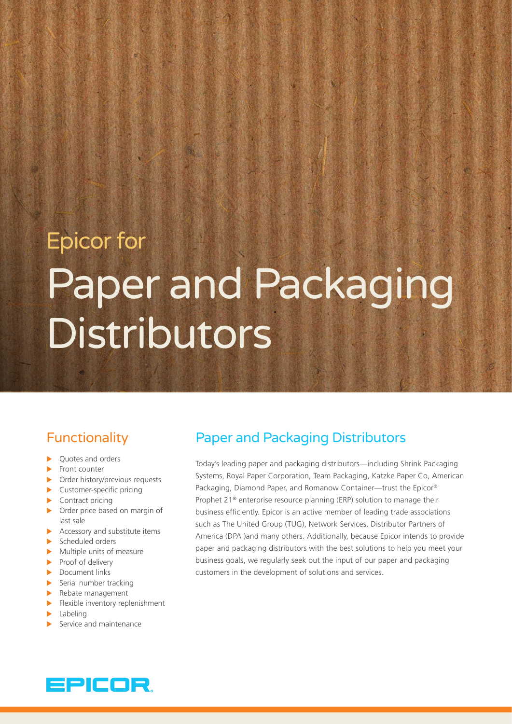# Epicor for Paper and Packaging **Distributors**

# **Functionality**

- $\blacktriangleright$  Quotes and orders
- $\blacktriangleright$  Front counter
- $\triangleright$  Order history/previous requests
- $\blacktriangleright$  Customer-specific pricing
- $\blacktriangleright$  Contract pricing
- $\triangleright$  Order price based on margin of last sale
- $\blacktriangleright$  Accessory and substitute items
- $\blacktriangleright$  Scheduled orders
- $\blacktriangleright$  Multiple units of measure
- $\blacktriangleright$  Proof of delivery
- $\blacktriangleright$  Document links
- $\blacktriangleright$  Serial number tracking
- $\blacktriangleright$  Rebate management
- $\blacktriangleright$  Flexible inventory replenishment
- $\blacktriangleright$  Labeling
- $\blacktriangleright$  Service and maintenance

# Paper and Packaging Distributors

Today's leading paper and packaging distributors—including Shrink Packaging Systems, Royal Paper Corporation, Team Packaging, Katzke Paper Co, American Packaging, Diamond Paper, and Romanow Container—trust the Epicor® Prophet 21® enterprise resource planning (ERP) solution to manage their business efficiently. Epicor is an active member of leading trade associations such as The United Group (TUG), Network Services, Distributor Partners of America (DPA )and many others. Additionally, because Epicor intends to provide paper and packaging distributors with the best solutions to help you meet your business goals, we regularly seek out the input of our paper and packaging customers in the development of solutions and services.

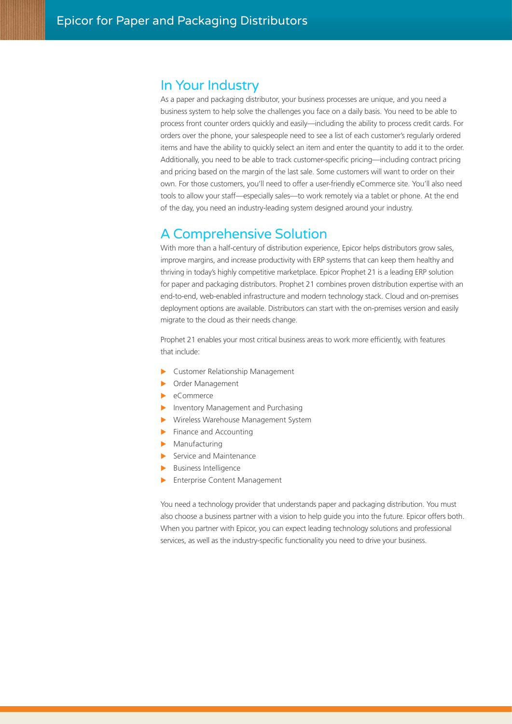#### In Your Industry

As a paper and packaging distributor, your business processes are unique, and you need a business system to help solve the challenges you face on a daily basis. You need to be able to process front counter orders quickly and easily—including the ability to process credit cards. For orders over the phone, your salespeople need to see a list of each customer's regularly ordered items and have the ability to quickly select an item and enter the quantity to add it to the order. Additionally, you need to be able to track customer-specific pricing—including contract pricing and pricing based on the margin of the last sale. Some customers will want to order on their own. For those customers, you'll need to offer a user-friendly eCommerce site. You'll also need tools to allow your staff—especially sales—to work remotely via a tablet or phone. At the end of the day, you need an industry-leading system designed around your industry.

#### A Comprehensive Solution

With more than a half-century of distribution experience, Epicor helps distributors grow sales, improve margins, and increase productivity with ERP systems that can keep them healthy and thriving in today's highly competitive marketplace. Epicor Prophet 21 is a leading ERP solution for paper and packaging distributors. Prophet 21 combines proven distribution expertise with an end-to-end, web-enabled infrastructure and modern technology stack. Cloud and on-premises deployment options are available. Distributors can start with the on-premises version and easily migrate to the cloud as their needs change.

Prophet 21 enables your most critical business areas to work more efficiently, with features that include:

- **X Customer Relationship Management**
- **Dider Management**
- eCommerce
- Inventory Management and Purchasing
- X Wireless Warehouse Management System
- $\blacktriangleright$  Finance and Accounting
- $\blacktriangleright$  Manufacturing
- $\blacktriangleright$  Service and Maintenance
- **Business Intelligence**
- **Enterprise Content Management**

You need a technology provider that understands paper and packaging distribution. You must also choose a business partner with a vision to help guide you into the future. Epicor offers both. When you partner with Epicor, you can expect leading technology solutions and professional services, as well as the industry-specific functionality you need to drive your business.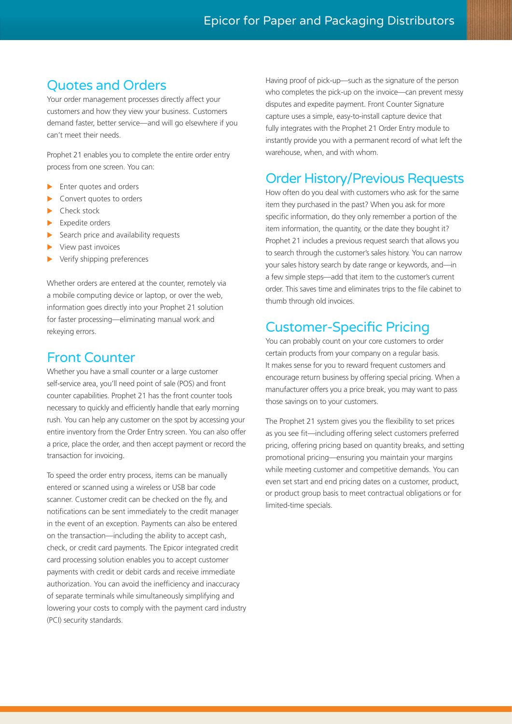## Quotes and Orders

Your order management processes directly affect your customers and how they view your business. Customers demand faster, better service—and will go elsewhere if you can't meet their needs.

Prophet 21 enables you to complete the entire order entry process from one screen. You can:

- Enter quotes and orders
- Convert quotes to orders
- Check stock
- Expedite orders
- Search price and availability requests
- View past invoices
- Verify shipping preferences

Whether orders are entered at the counter, remotely via a mobile computing device or laptop, or over the web, information goes directly into your Prophet 21 solution for faster processing—eliminating manual work and rekeying errors.

#### Front Counter

Whether you have a small counter or a large customer self-service area, you'll need point of sale (POS) and front counter capabilities. Prophet 21 has the front counter tools necessary to quickly and efficiently handle that early morning rush. You can help any customer on the spot by accessing your entire inventory from the Order Entry screen. You can also offer a price, place the order, and then accept payment or record the transaction for invoicing.

To speed the order entry process, items can be manually entered or scanned using a wireless or USB bar code scanner. Customer credit can be checked on the fly, and notifications can be sent immediately to the credit manager in the event of an exception. Payments can also be entered on the transaction—including the ability to accept cash, check, or credit card payments. The Epicor integrated credit card processing solution enables you to accept customer payments with credit or debit cards and receive immediate authorization. You can avoid the inefficiency and inaccuracy of separate terminals while simultaneously simplifying and lowering your costs to comply with the payment card industry (PCI) security standards.

Having proof of pick-up—such as the signature of the person who completes the pick-up on the invoice—can prevent messy disputes and expedite payment. Front Counter Signature capture uses a simple, easy-to-install capture device that fully integrates with the Prophet 21 Order Entry module to instantly provide you with a permanent record of what left the warehouse, when, and with whom.

#### Order History/Previous Requests

How often do you deal with customers who ask for the same item they purchased in the past? When you ask for more specific information, do they only remember a portion of the item information, the quantity, or the date they bought it? Prophet 21 includes a previous request search that allows you to search through the customer's sales history. You can narrow your sales history search by date range or keywords, and—in a few simple steps—add that item to the customer's current order. This saves time and eliminates trips to the file cabinet to thumb through old invoices.

### Customer-Specific Pricing

You can probably count on your core customers to order certain products from your company on a regular basis. It makes sense for you to reward frequent customers and encourage return business by offering special pricing. When a manufacturer offers you a price break, you may want to pass those savings on to your customers.

The Prophet 21 system gives you the flexibility to set prices as you see fit—including offering select customers preferred pricing, offering pricing based on quantity breaks, and setting promotional pricing—ensuring you maintain your margins while meeting customer and competitive demands. You can even set start and end pricing dates on a customer, product, or product group basis to meet contractual obligations or for limited-time specials.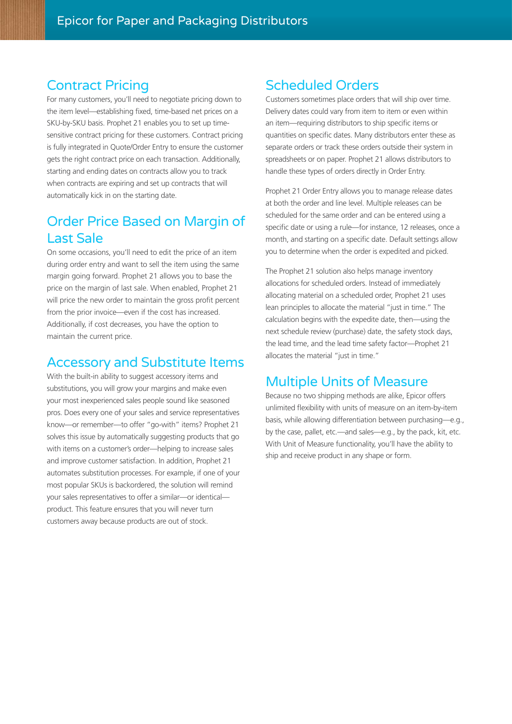## Contract Pricing

For many customers, you'll need to negotiate pricing down to the item level—establishing fixed, time-based net prices on a SKU-by-SKU basis. Prophet 21 enables you to set up timesensitive contract pricing for these customers. Contract pricing is fully integrated in Quote/Order Entry to ensure the customer gets the right contract price on each transaction. Additionally, starting and ending dates on contracts allow you to track when contracts are expiring and set up contracts that will automatically kick in on the starting date.

## Order Price Based on Margin of Last Sale

On some occasions, you'll need to edit the price of an item during order entry and want to sell the item using the same margin going forward. Prophet 21 allows you to base the price on the margin of last sale. When enabled, Prophet 21 will price the new order to maintain the gross profit percent from the prior invoice—even if the cost has increased. Additionally, if cost decreases, you have the option to maintain the current price.

### Accessory and Substitute Items

With the built-in ability to suggest accessory items and substitutions, you will grow your margins and make even your most inexperienced sales people sound like seasoned pros. Does every one of your sales and service representatives know—or remember—to offer "go-with" items? Prophet 21 solves this issue by automatically suggesting products that go with items on a customer's order—helping to increase sales and improve customer satisfaction. In addition, Prophet 21 automates substitution processes. For example, if one of your most popular SKUs is backordered, the solution will remind your sales representatives to offer a similar—or identical product. This feature ensures that you will never turn customers away because products are out of stock.

## Scheduled Orders

Customers sometimes place orders that will ship over time. Delivery dates could vary from item to item or even within an item—requiring distributors to ship specific items or quantities on specific dates. Many distributors enter these as separate orders or track these orders outside their system in spreadsheets or on paper. Prophet 21 allows distributors to handle these types of orders directly in Order Entry.

Prophet 21 Order Entry allows you to manage release dates at both the order and line level. Multiple releases can be scheduled for the same order and can be entered using a specific date or using a rule—for instance, 12 releases, once a month, and starting on a specific date. Default settings allow you to determine when the order is expedited and picked.

The Prophet 21 solution also helps manage inventory allocations for scheduled orders. Instead of immediately allocating material on a scheduled order, Prophet 21 uses lean principles to allocate the material "just in time." The calculation begins with the expedite date, then—using the next schedule review (purchase) date, the safety stock days, the lead time, and the lead time safety factor—Prophet 21 allocates the material "just in time."

## Multiple Units of Measure

Because no two shipping methods are alike, Epicor offers unlimited flexibility with units of measure on an item-by-item basis, while allowing differentiation between purchasing—e.g., by the case, pallet, etc.—and sales—e.g., by the pack, kit, etc. With Unit of Measure functionality, you'll have the ability to ship and receive product in any shape or form.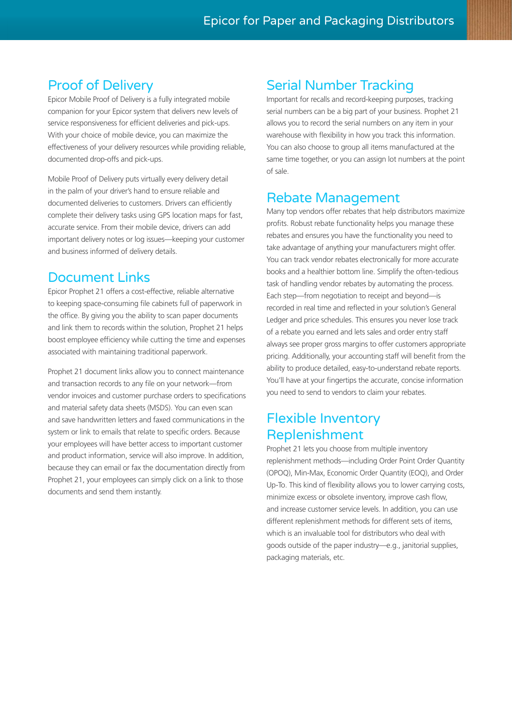## Proof of Delivery

Epicor Mobile Proof of Delivery is a fully integrated mobile companion for your Epicor system that delivers new levels of service responsiveness for efficient deliveries and pick-ups. With your choice of mobile device, you can maximize the effectiveness of your delivery resources while providing reliable, documented drop-offs and pick-ups.

Mobile Proof of Delivery puts virtually every delivery detail in the palm of your driver's hand to ensure reliable and documented deliveries to customers. Drivers can efficiently complete their delivery tasks using GPS location maps for fast, accurate service. From their mobile device, drivers can add important delivery notes or log issues—keeping your customer and business informed of delivery details.

## Document Links

Epicor Prophet 21 offers a cost-effective, reliable alternative to keeping space-consuming file cabinets full of paperwork in the office. By giving you the ability to scan paper documents and link them to records within the solution, Prophet 21 helps boost employee efficiency while cutting the time and expenses associated with maintaining traditional paperwork.

Prophet 21 document links allow you to connect maintenance and transaction records to any file on your network—from vendor invoices and customer purchase orders to specifications and material safety data sheets (MSDS). You can even scan and save handwritten letters and faxed communications in the system or link to emails that relate to specific orders. Because your employees will have better access to important customer and product information, service will also improve. In addition, because they can email or fax the documentation directly from Prophet 21, your employees can simply click on a link to those documents and send them instantly.

## Serial Number Tracking

Important for recalls and record-keeping purposes, tracking serial numbers can be a big part of your business. Prophet 21 allows you to record the serial numbers on any item in your warehouse with flexibility in how you track this information. You can also choose to group all items manufactured at the same time together, or you can assign lot numbers at the point of sale.

## Rebate Management

Many top vendors offer rebates that help distributors maximize profits. Robust rebate functionality helps you manage these rebates and ensures you have the functionality you need to take advantage of anything your manufacturers might offer. You can track vendor rebates electronically for more accurate books and a healthier bottom line. Simplify the often-tedious task of handling vendor rebates by automating the process. Each step—from negotiation to receipt and beyond—is recorded in real time and reflected in your solution's General Ledger and price schedules. This ensures you never lose track of a rebate you earned and lets sales and order entry staff always see proper gross margins to offer customers appropriate pricing. Additionally, your accounting staff will benefit from the ability to produce detailed, easy-to-understand rebate reports. You'll have at your fingertips the accurate, concise information you need to send to vendors to claim your rebates.

# Flexible Inventory Replenishment

Prophet 21 lets you choose from multiple inventory replenishment methods—including Order Point Order Quantity (OPOQ), Min-Max, Economic Order Quantity (EOQ), and Order Up-To. This kind of flexibility allows you to lower carrying costs, minimize excess or obsolete inventory, improve cash flow, and increase customer service levels. In addition, you can use different replenishment methods for different sets of items, which is an invaluable tool for distributors who deal with goods outside of the paper industry—e.g., janitorial supplies, packaging materials, etc.